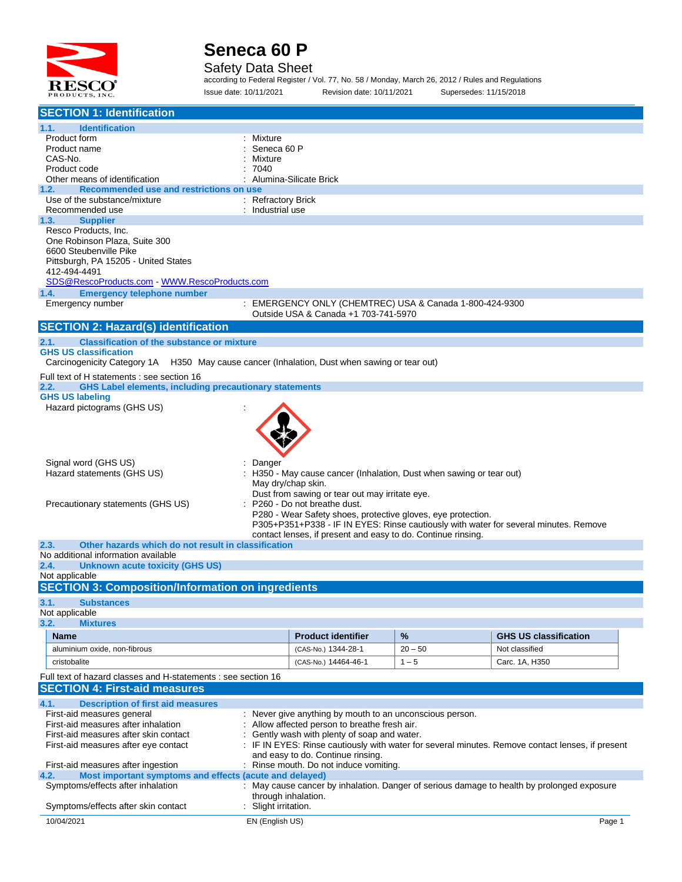

#### Safety Data Sheet

according to Federal Register / Vol. 77, No. 58 / Monday, March 26, 2012 / Rules and Regulations Issue date: 10/11/2021 Revision date: 10/11/2021 Supersedes: 11/15/2018

| <b>SECTION 1: Identification</b>                                                                            |                      |                                                                      |           |                                                                                                  |        |
|-------------------------------------------------------------------------------------------------------------|----------------------|----------------------------------------------------------------------|-----------|--------------------------------------------------------------------------------------------------|--------|
| 1.1.<br><b>Identification</b>                                                                               |                      |                                                                      |           |                                                                                                  |        |
| Product form                                                                                                | : Mixture            |                                                                      |           |                                                                                                  |        |
| Product name<br>CAS-No.                                                                                     | Mixture              | Seneca 60 P                                                          |           |                                                                                                  |        |
| Product code                                                                                                | 7040                 |                                                                      |           |                                                                                                  |        |
| Other means of identification                                                                               |                      | : Alumina-Silicate Brick                                             |           |                                                                                                  |        |
| Recommended use and restrictions on use<br>1.2.                                                             |                      |                                                                      |           |                                                                                                  |        |
| Use of the substance/mixture                                                                                | : Refractory Brick   |                                                                      |           |                                                                                                  |        |
| Recommended use<br><b>Supplier</b><br>1.3.                                                                  | : Industrial use     |                                                                      |           |                                                                                                  |        |
| Resco Products, Inc.                                                                                        |                      |                                                                      |           |                                                                                                  |        |
| One Robinson Plaza, Suite 300                                                                               |                      |                                                                      |           |                                                                                                  |        |
| 6600 Steubenville Pike                                                                                      |                      |                                                                      |           |                                                                                                  |        |
| Pittsburgh, PA 15205 - United States                                                                        |                      |                                                                      |           |                                                                                                  |        |
| 412-494-4491<br>SDS@RescoProducts.com WWW.RescoProducts.com                                                 |                      |                                                                      |           |                                                                                                  |        |
| <b>Emergency telephone number</b><br>1.4.                                                                   |                      |                                                                      |           |                                                                                                  |        |
| Emergency number                                                                                            |                      | : EMERGENCY ONLY (CHEMTREC) USA & Canada 1-800-424-9300              |           |                                                                                                  |        |
|                                                                                                             |                      | Outside USA & Canada +1 703-741-5970                                 |           |                                                                                                  |        |
| <b>SECTION 2: Hazard(s) identification</b>                                                                  |                      |                                                                      |           |                                                                                                  |        |
| <b>Classification of the substance or mixture</b><br>2.1.                                                   |                      |                                                                      |           |                                                                                                  |        |
| <b>GHS US classification</b>                                                                                |                      |                                                                      |           |                                                                                                  |        |
| Carcinogenicity Category 1A H350 May cause cancer (Inhalation, Dust when sawing or tear out)                |                      |                                                                      |           |                                                                                                  |        |
| Full text of H statements : see section 16<br><b>GHS Label elements, including precautionary statements</b> |                      |                                                                      |           |                                                                                                  |        |
| 2.2.<br><b>GHS US labeling</b>                                                                              |                      |                                                                      |           |                                                                                                  |        |
| Hazard pictograms (GHS US)                                                                                  |                      |                                                                      |           |                                                                                                  |        |
|                                                                                                             |                      |                                                                      |           |                                                                                                  |        |
|                                                                                                             |                      |                                                                      |           |                                                                                                  |        |
|                                                                                                             |                      |                                                                      |           |                                                                                                  |        |
|                                                                                                             |                      |                                                                      |           |                                                                                                  |        |
| Signal word (GHS US)                                                                                        | Danger               |                                                                      |           |                                                                                                  |        |
| Hazard statements (GHS US)                                                                                  |                      | : H350 - May cause cancer (Inhalation, Dust when sawing or tear out) |           |                                                                                                  |        |
|                                                                                                             |                      | May dry/chap skin.<br>Dust from sawing or tear out may irritate eye. |           |                                                                                                  |        |
| Precautionary statements (GHS US)                                                                           |                      | : P260 - Do not breathe dust.                                        |           |                                                                                                  |        |
|                                                                                                             |                      | P280 - Wear Safety shoes, protective gloves, eye protection.         |           |                                                                                                  |        |
|                                                                                                             |                      |                                                                      |           | P305+P351+P338 - IF IN EYES: Rinse cautiously with water for several minutes. Remove             |        |
| Other hazards which do not result in classification<br>2.3.                                                 |                      | contact lenses, if present and easy to do. Continue rinsing.         |           |                                                                                                  |        |
| No additional information available                                                                         |                      |                                                                      |           |                                                                                                  |        |
| 2.4.<br><b>Unknown acute toxicity (GHS US)</b>                                                              |                      |                                                                      |           |                                                                                                  |        |
| Not applicable                                                                                              |                      |                                                                      |           |                                                                                                  |        |
| <b>SECTION 3: Composition/Information on ingredients</b>                                                    |                      |                                                                      |           |                                                                                                  |        |
| 3.1.<br><b>Substances</b>                                                                                   |                      |                                                                      |           |                                                                                                  |        |
| Not applicable                                                                                              |                      |                                                                      |           |                                                                                                  |        |
| 3.2.<br><b>Mixtures</b>                                                                                     |                      |                                                                      |           |                                                                                                  |        |
| <b>Name</b>                                                                                                 |                      | <b>Product identifier</b>                                            | %         | <b>GHS US classification</b>                                                                     |        |
| aluminium oxide, non-fibrous                                                                                |                      | (CAS-No.) 1344-28-1                                                  | $20 - 50$ | Not classified                                                                                   |        |
| cristobalite                                                                                                |                      | (CAS-No.) 14464-46-1                                                 | $1 - 5$   | Carc. 1A, H350                                                                                   |        |
| Full text of hazard classes and H-statements : see section 16                                               |                      |                                                                      |           |                                                                                                  |        |
| <b>SECTION 4: First-aid measures</b>                                                                        |                      |                                                                      |           |                                                                                                  |        |
| 4.1.<br><b>Description of first aid measures</b>                                                            |                      |                                                                      |           |                                                                                                  |        |
| First-aid measures general                                                                                  |                      | : Never give anything by mouth to an unconscious person.             |           |                                                                                                  |        |
| First-aid measures after inhalation                                                                         |                      | Allow affected person to breathe fresh air.                          |           |                                                                                                  |        |
| First-aid measures after skin contact                                                                       |                      | Gently wash with plenty of soap and water.                           |           |                                                                                                  |        |
| First-aid measures after eye contact                                                                        |                      | and easy to do. Continue rinsing.                                    |           | : IF IN EYES: Rinse cautiously with water for several minutes. Remove contact lenses, if present |        |
| First-aid measures after ingestion                                                                          |                      | : Rinse mouth. Do not induce vomiting.                               |           |                                                                                                  |        |
| Most important symptoms and effects (acute and delayed)<br>4.2.                                             |                      |                                                                      |           |                                                                                                  |        |
| Symptoms/effects after inhalation                                                                           |                      |                                                                      |           | : May cause cancer by inhalation. Danger of serious damage to health by prolonged exposure       |        |
|                                                                                                             |                      | through inhalation.                                                  |           |                                                                                                  |        |
| Symptoms/effects after skin contact                                                                         | : Slight irritation. |                                                                      |           |                                                                                                  |        |
| 10/04/2021                                                                                                  | EN (English US)      |                                                                      |           |                                                                                                  | Page 1 |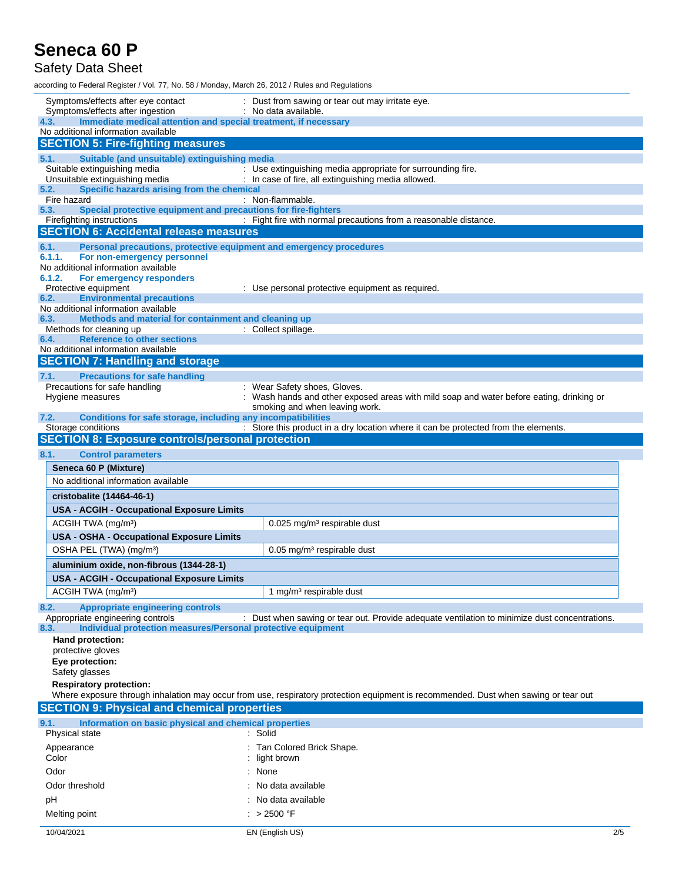### Safety Data Sheet

according to Federal Register / Vol. 77, No. 58 / Monday, March 26, 2012 / Rules and Regulations

| Symptoms/effects after eye contact<br>Symptoms/effects after ingestion                                               | : Dust from sawing or tear out may irritate eye.<br>: No data available.                                                            |
|----------------------------------------------------------------------------------------------------------------------|-------------------------------------------------------------------------------------------------------------------------------------|
| Immediate medical attention and special treatment, if necessary<br>4.3.                                              |                                                                                                                                     |
| No additional information available                                                                                  |                                                                                                                                     |
| <b>SECTION 5: Fire-fighting measures</b>                                                                             |                                                                                                                                     |
| 5.1.<br>Suitable (and unsuitable) extinguishing media                                                                |                                                                                                                                     |
| Suitable extinguishing media                                                                                         | : Use extinguishing media appropriate for surrounding fire.                                                                         |
| Unsuitable extinguishing media<br>Specific hazards arising from the chemical<br>5.2.                                 | : In case of fire, all extinguishing media allowed.                                                                                 |
| Fire hazard                                                                                                          | : Non-flammable.                                                                                                                    |
| Special protective equipment and precautions for fire-fighters<br>5.3.                                               |                                                                                                                                     |
| Firefighting instructions<br><b>SECTION 6: Accidental release measures</b>                                           | : Fight fire with normal precautions from a reasonable distance.                                                                    |
|                                                                                                                      |                                                                                                                                     |
| 6.1.<br>Personal precautions, protective equipment and emergency procedures<br>6.1.1.<br>For non-emergency personnel |                                                                                                                                     |
| No additional information available                                                                                  |                                                                                                                                     |
| 6.1.2.<br>For emergency responders                                                                                   |                                                                                                                                     |
| Protective equipment<br>6.2.                                                                                         | : Use personal protective equipment as required.                                                                                    |
| <b>Environmental precautions</b><br>No additional information available                                              |                                                                                                                                     |
| Methods and material for containment and cleaning up<br>6.3.                                                         |                                                                                                                                     |
| Methods for cleaning up                                                                                              | : Collect spillage.                                                                                                                 |
| <b>Reference to other sections</b><br>6.4.<br>No additional information available                                    |                                                                                                                                     |
| <b>SECTION 7: Handling and storage</b>                                                                               |                                                                                                                                     |
| <b>Precautions for safe handling</b><br>7.1.                                                                         |                                                                                                                                     |
| Precautions for safe handling                                                                                        | : Wear Safety shoes, Gloves.                                                                                                        |
| Hygiene measures                                                                                                     | : Wash hands and other exposed areas with mild soap and water before eating, drinking or                                            |
|                                                                                                                      | smoking and when leaving work.                                                                                                      |
| Conditions for safe storage, including any incompatibilities<br>7.2.<br>Storage conditions                           | : Store this product in a dry location where it can be protected from the elements.                                                 |
| <b>SECTION 8: Exposure controls/personal protection</b>                                                              |                                                                                                                                     |
| 8.1.<br><b>Control parameters</b>                                                                                    |                                                                                                                                     |
| Seneca 60 P (Mixture)                                                                                                |                                                                                                                                     |
| No additional information available                                                                                  |                                                                                                                                     |
|                                                                                                                      |                                                                                                                                     |
| cristobalite (14464-46-1)                                                                                            |                                                                                                                                     |
| <b>USA - ACGIH - Occupational Exposure Limits</b>                                                                    |                                                                                                                                     |
| ACGIH TWA (mg/m <sup>3</sup> )                                                                                       | $0.025$ mg/m <sup>3</sup> respirable dust                                                                                           |
| <b>USA - OSHA - Occupational Exposure Limits</b>                                                                     |                                                                                                                                     |
| OSHA PEL (TWA) (mg/m <sup>3</sup> )                                                                                  | $0.05$ mg/m <sup>3</sup> respirable dust                                                                                            |
| aluminium oxide, non-fibrous (1344-28-1)                                                                             |                                                                                                                                     |
| <b>USA - ACGIH - Occupational Exposure Limits</b>                                                                    |                                                                                                                                     |
| ACGIH TWA (mg/m <sup>3</sup> )                                                                                       | 1 mg/m <sup>3</sup> respirable dust                                                                                                 |
| 8.2.<br><b>Appropriate engineering controls</b>                                                                      |                                                                                                                                     |
| Appropriate engineering controls                                                                                     | : Dust when sawing or tear out. Provide adequate ventilation to minimize dust concentrations.                                       |
| Individual protection measures/Personal protective equipment<br>8.3.<br>Hand protection:                             |                                                                                                                                     |
| protective gloves                                                                                                    |                                                                                                                                     |
| Eye protection:                                                                                                      |                                                                                                                                     |
| Safety glasses                                                                                                       |                                                                                                                                     |
| <b>Respiratory protection:</b>                                                                                       |                                                                                                                                     |
|                                                                                                                      | Where exposure through inhalation may occur from use, respiratory protection equipment is recommended. Dust when sawing or tear out |
| <b>SECTION 9: Physical and chemical properties</b>                                                                   |                                                                                                                                     |
| Information on basic physical and chemical properties<br>9.1.                                                        | : Solid                                                                                                                             |
| Physical state                                                                                                       |                                                                                                                                     |
| Appearance<br>Color                                                                                                  | : Tan Colored Brick Shape.<br>: light brown                                                                                         |
| Odor                                                                                                                 | : None                                                                                                                              |
|                                                                                                                      |                                                                                                                                     |
| Odor threshold                                                                                                       | : No data available                                                                                                                 |
| рH                                                                                                                   | : No data available                                                                                                                 |
| Melting point                                                                                                        | $: > 2500$ °F                                                                                                                       |
| 10/04/2021                                                                                                           | 2/5<br>EN (English US)                                                                                                              |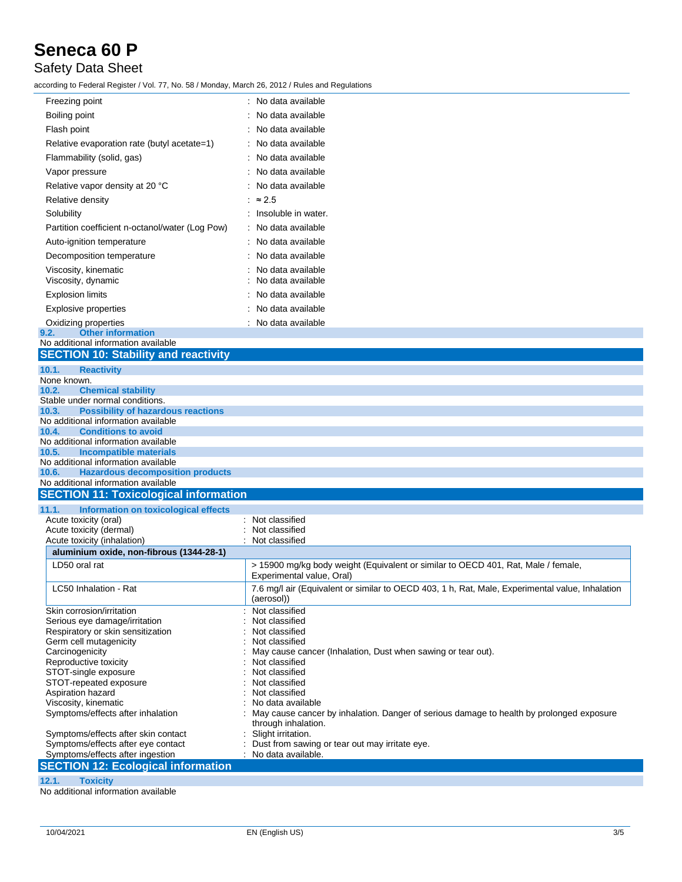## Safety Data Sheet

according to Federal Register / Vol. 77, No. 58 / Monday, March 26, 2012 / Rules and Regulations

| Freezing point                                     | No data available   |
|----------------------------------------------------|---------------------|
| Boiling point                                      | No data available   |
| Flash point                                        | No data available   |
| Relative evaporation rate (butyl acetate=1)        | No data available   |
| Flammability (solid, gas)                          | No data available   |
| Vapor pressure                                     | No data available   |
| Relative vapor density at 20 °C                    | No data available   |
| Relative density                                   | $\approx$ 2.5       |
| Solubility                                         | Insoluble in water. |
| Partition coefficient n-octanol/water (Log Pow)    | No data available   |
| Auto-ignition temperature                          | No data available   |
| Decomposition temperature                          | No data available   |
| Viscosity, kinematic                               | No data available   |
| Viscosity, dynamic                                 | No data available   |
| <b>Explosion limits</b>                            | No data available   |
| <b>Explosive properties</b>                        | No data available   |
| Oxidizing properties                               | : No data available |
| <b>Other information</b><br>9.2.                   |                     |
| No additional information available                |                     |
| <b>SECTION 10: Stability and reactivity</b>        |                     |
| 10.1.<br><b>Reactivity</b>                         |                     |
| None known.                                        |                     |
| 10.2.<br><b>Chemical stability</b>                 |                     |
| Stable under normal conditions.                    |                     |
| <b>Possibility of hazardous reactions</b><br>10.3. |                     |
| No additional information available                |                     |
| <b>Conditions to avoid</b><br>10.4.                |                     |
| No additional information available                |                     |
| <b>Incompatible materials</b><br>10.5.             |                     |
| No additional information available                |                     |
| 10.6.<br><b>Hazardous decomposition products</b>   |                     |
| No additional information available                |                     |
| <b>SECTION 11: Toxicological information</b>       |                     |
| 111<br>Information on toxicological effects        |                     |

| Information on toxicological effects<br>11.1. |                                                                                                                |
|-----------------------------------------------|----------------------------------------------------------------------------------------------------------------|
| Acute toxicity (oral)                         | : Not classified                                                                                               |
| Acute toxicity (dermal)                       | Not classified                                                                                                 |
| Acute toxicity (inhalation)                   | Not classified                                                                                                 |
| aluminium oxide, non-fibrous (1344-28-1)      |                                                                                                                |
| LD50 oral rat                                 | > 15900 mg/kg body weight (Equivalent or similar to OECD 401, Rat, Male / female,<br>Experimental value, Oral) |
| LC50 Inhalation - Rat                         | 7.6 mg/l air (Equivalent or similar to OECD 403, 1 h, Rat, Male, Experimental value, Inhalation<br>(aerosol))  |
| Skin corrosion/irritation                     | Not classified                                                                                                 |
| Serious eye damage/irritation                 | Not classified                                                                                                 |
| Respiratory or skin sensitization             | Not classified                                                                                                 |
| Germ cell mutagenicity                        | Not classified                                                                                                 |
| Carcinogenicity                               | May cause cancer (Inhalation, Dust when sawing or tear out).                                                   |
| Reproductive toxicity                         | Not classified                                                                                                 |
| STOT-single exposure                          | Not classified                                                                                                 |
| STOT-repeated exposure                        | Not classified                                                                                                 |
| Aspiration hazard                             | Not classified                                                                                                 |
| Viscosity, kinematic                          | : No data available                                                                                            |
| Symptoms/effects after inhalation             | May cause cancer by inhalation. Danger of serious damage to health by prolonged exposure                       |
|                                               | through inhalation.                                                                                            |
| Symptoms/effects after skin contact           | Slight irritation.                                                                                             |
| Symptoms/effects after eye contact            | : Dust from sawing or tear out may irritate eye.                                                               |
| Symptoms/effects after ingestion              | No data available.                                                                                             |
| <b>SECTION 12: Ecological information</b>     |                                                                                                                |

**12.1. Toxicity**

No additional information available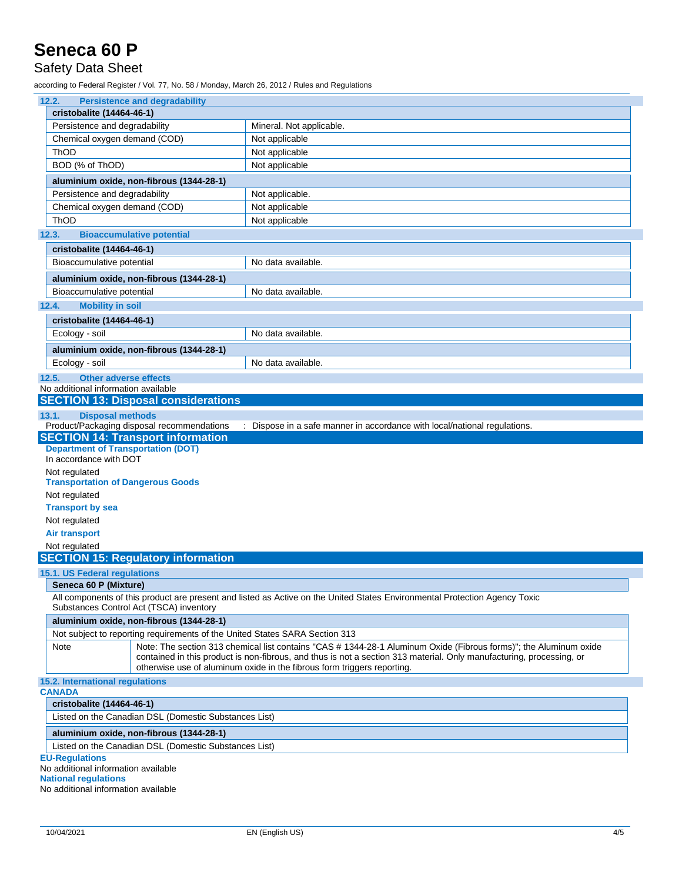### Safety Data Sheet

according to Federal Register / Vol. 77, No. 58 / Monday, March 26, 2012 / Rules and Regulations

| 12.2.                                                                                             | <b>Persistence and degradability</b>                                        |                                                                                                                                                                                                                                                                                                                      |  |
|---------------------------------------------------------------------------------------------------|-----------------------------------------------------------------------------|----------------------------------------------------------------------------------------------------------------------------------------------------------------------------------------------------------------------------------------------------------------------------------------------------------------------|--|
| cristobalite (14464-46-1)                                                                         |                                                                             |                                                                                                                                                                                                                                                                                                                      |  |
| Persistence and degradability                                                                     |                                                                             | Mineral. Not applicable.                                                                                                                                                                                                                                                                                             |  |
| Chemical oxygen demand (COD)                                                                      |                                                                             | Not applicable                                                                                                                                                                                                                                                                                                       |  |
| ThOD                                                                                              |                                                                             | Not applicable                                                                                                                                                                                                                                                                                                       |  |
| BOD (% of ThOD)                                                                                   |                                                                             | Not applicable                                                                                                                                                                                                                                                                                                       |  |
|                                                                                                   | aluminium oxide, non-fibrous (1344-28-1)                                    |                                                                                                                                                                                                                                                                                                                      |  |
| Persistence and degradability                                                                     |                                                                             | Not applicable.                                                                                                                                                                                                                                                                                                      |  |
| Chemical oxygen demand (COD)                                                                      |                                                                             | Not applicable                                                                                                                                                                                                                                                                                                       |  |
| <b>ThOD</b>                                                                                       |                                                                             | Not applicable                                                                                                                                                                                                                                                                                                       |  |
| 12.3.                                                                                             | <b>Bioaccumulative potential</b>                                            |                                                                                                                                                                                                                                                                                                                      |  |
| cristobalite (14464-46-1)                                                                         |                                                                             |                                                                                                                                                                                                                                                                                                                      |  |
| Bioaccumulative potential                                                                         |                                                                             | No data available.                                                                                                                                                                                                                                                                                                   |  |
|                                                                                                   | aluminium oxide, non-fibrous (1344-28-1)                                    |                                                                                                                                                                                                                                                                                                                      |  |
| Bioaccumulative potential                                                                         |                                                                             | No data available.                                                                                                                                                                                                                                                                                                   |  |
| 12.4.<br><b>Mobility in soil</b>                                                                  |                                                                             |                                                                                                                                                                                                                                                                                                                      |  |
| cristobalite (14464-46-1)                                                                         |                                                                             |                                                                                                                                                                                                                                                                                                                      |  |
| Ecology - soil                                                                                    |                                                                             | No data available.                                                                                                                                                                                                                                                                                                   |  |
|                                                                                                   | aluminium oxide, non-fibrous (1344-28-1)                                    |                                                                                                                                                                                                                                                                                                                      |  |
| Ecology - soil                                                                                    |                                                                             | No data available.                                                                                                                                                                                                                                                                                                   |  |
|                                                                                                   |                                                                             |                                                                                                                                                                                                                                                                                                                      |  |
| <b>Other adverse effects</b><br>12.5.<br>No additional information available                      |                                                                             |                                                                                                                                                                                                                                                                                                                      |  |
|                                                                                                   | <b>SECTION 13: Disposal considerations</b>                                  |                                                                                                                                                                                                                                                                                                                      |  |
| <b>Disposal methods</b><br>13.1.                                                                  |                                                                             |                                                                                                                                                                                                                                                                                                                      |  |
|                                                                                                   | Product/Packaging disposal recommendations                                  | : Dispose in a safe manner in accordance with local/national regulations.                                                                                                                                                                                                                                            |  |
|                                                                                                   | <b>SECTION 14: Transport information</b>                                    |                                                                                                                                                                                                                                                                                                                      |  |
| <b>Department of Transportation (DOT)</b><br>In accordance with DOT                               |                                                                             |                                                                                                                                                                                                                                                                                                                      |  |
| Not regulated                                                                                     |                                                                             |                                                                                                                                                                                                                                                                                                                      |  |
| <b>Transportation of Dangerous Goods</b>                                                          |                                                                             |                                                                                                                                                                                                                                                                                                                      |  |
| Not regulated                                                                                     |                                                                             |                                                                                                                                                                                                                                                                                                                      |  |
| <b>Transport by sea</b>                                                                           |                                                                             |                                                                                                                                                                                                                                                                                                                      |  |
| Not regulated                                                                                     |                                                                             |                                                                                                                                                                                                                                                                                                                      |  |
| <b>Air transport</b>                                                                              |                                                                             |                                                                                                                                                                                                                                                                                                                      |  |
| Not regulated                                                                                     |                                                                             |                                                                                                                                                                                                                                                                                                                      |  |
|                                                                                                   | <b>SECTION 15: Regulatory information</b>                                   |                                                                                                                                                                                                                                                                                                                      |  |
| 15.1. US Federal regulations                                                                      |                                                                             |                                                                                                                                                                                                                                                                                                                      |  |
| Seneca 60 P (Mixture)                                                                             |                                                                             |                                                                                                                                                                                                                                                                                                                      |  |
|                                                                                                   | Substances Control Act (TSCA) inventory                                     | All components of this product are present and listed as Active on the United States Environmental Protection Agency Toxic                                                                                                                                                                                           |  |
|                                                                                                   | aluminium oxide, non-fibrous (1344-28-1)                                    |                                                                                                                                                                                                                                                                                                                      |  |
|                                                                                                   | Not subject to reporting requirements of the United States SARA Section 313 |                                                                                                                                                                                                                                                                                                                      |  |
| Note                                                                                              |                                                                             | Note: The section 313 chemical list contains "CAS # 1344-28-1 Aluminum Oxide (Fibrous forms)"; the Aluminum oxide<br>contained in this product is non-fibrous, and thus is not a section 313 material. Only manufacturing, processing, or<br>otherwise use of aluminum oxide in the fibrous form triggers reporting. |  |
| 15.2. International regulations                                                                   |                                                                             |                                                                                                                                                                                                                                                                                                                      |  |
| <b>CANADA</b><br>cristobalite (14464-46-1)                                                        |                                                                             |                                                                                                                                                                                                                                                                                                                      |  |
|                                                                                                   | Listed on the Canadian DSL (Domestic Substances List)                       |                                                                                                                                                                                                                                                                                                                      |  |
|                                                                                                   |                                                                             |                                                                                                                                                                                                                                                                                                                      |  |
| aluminium oxide, non-fibrous (1344-28-1)<br>Listed on the Canadian DSL (Domestic Substances List) |                                                                             |                                                                                                                                                                                                                                                                                                                      |  |
| <b>EU-Regulations</b>                                                                             |                                                                             |                                                                                                                                                                                                                                                                                                                      |  |
|                                                                                                   |                                                                             |                                                                                                                                                                                                                                                                                                                      |  |
| No additional information available<br><b>National regulations</b>                                |                                                                             |                                                                                                                                                                                                                                                                                                                      |  |

No additional information available